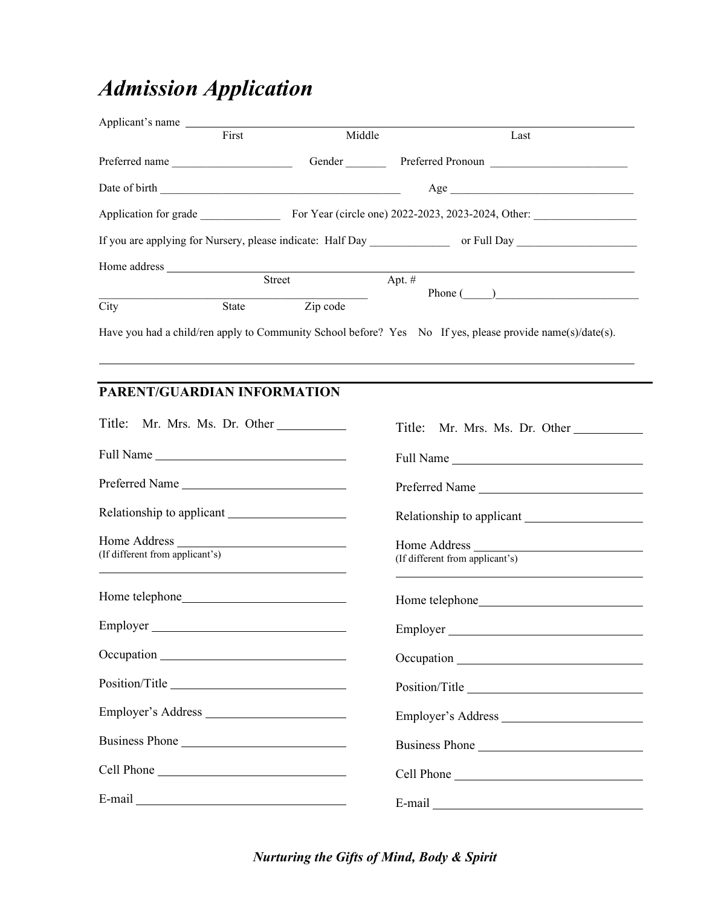## *Admission Application*

| Applicant's name                                           |              |               |          |                                                    |  |
|------------------------------------------------------------|--------------|---------------|----------|----------------------------------------------------|--|
|                                                            | First        | Middle        |          | Last                                               |  |
| Preferred name                                             |              | Gender        |          | Preferred Pronoun                                  |  |
|                                                            |              |               |          | Age                                                |  |
| Application for grade                                      |              |               |          | For Year (circle one) 2022-2023, 2023-2024, Other: |  |
| If you are applying for Nursery, please indicate: Half Day |              |               |          | or Full Day                                        |  |
| Home address                                               |              |               |          |                                                    |  |
|                                                            |              | <b>Street</b> | Apt. $#$ |                                                    |  |
| City                                                       | <b>State</b> | Zip code      |          | Phone $($ )                                        |  |

Have you had a child/ren apply to Community School before? Yes No If yes, please provide name(s)/date(s).

## **PARENT/GUARDIAN INFORMATION**

| Title: Mr. Mrs. Ms. Dr. Other                                                                       | Title: Mr. Mrs. Ms. Dr. Other                                                                                                                                                                                                  |
|-----------------------------------------------------------------------------------------------------|--------------------------------------------------------------------------------------------------------------------------------------------------------------------------------------------------------------------------------|
| Full Name                                                                                           |                                                                                                                                                                                                                                |
| Preferred Name                                                                                      | Preferred Name                                                                                                                                                                                                                 |
|                                                                                                     |                                                                                                                                                                                                                                |
| (If different from applicant's)<br><u> 1989 - Johann John Stone, Amerikaansk politiker († 1908)</u> | Home Address<br>(If different from applicant's)                                                                                                                                                                                |
|                                                                                                     |                                                                                                                                                                                                                                |
| Employer                                                                                            | Employer                                                                                                                                                                                                                       |
|                                                                                                     |                                                                                                                                                                                                                                |
| Position/Title                                                                                      | Position/Title                                                                                                                                                                                                                 |
| Employer's Address                                                                                  | Employer's Address                                                                                                                                                                                                             |
| Business Phone                                                                                      | Business Phone                                                                                                                                                                                                                 |
|                                                                                                     |                                                                                                                                                                                                                                |
|                                                                                                     | E-mail explorer and the second services of the services of the services of the services of the services of the services of the services of the services of the services of the services of the services of the services of the |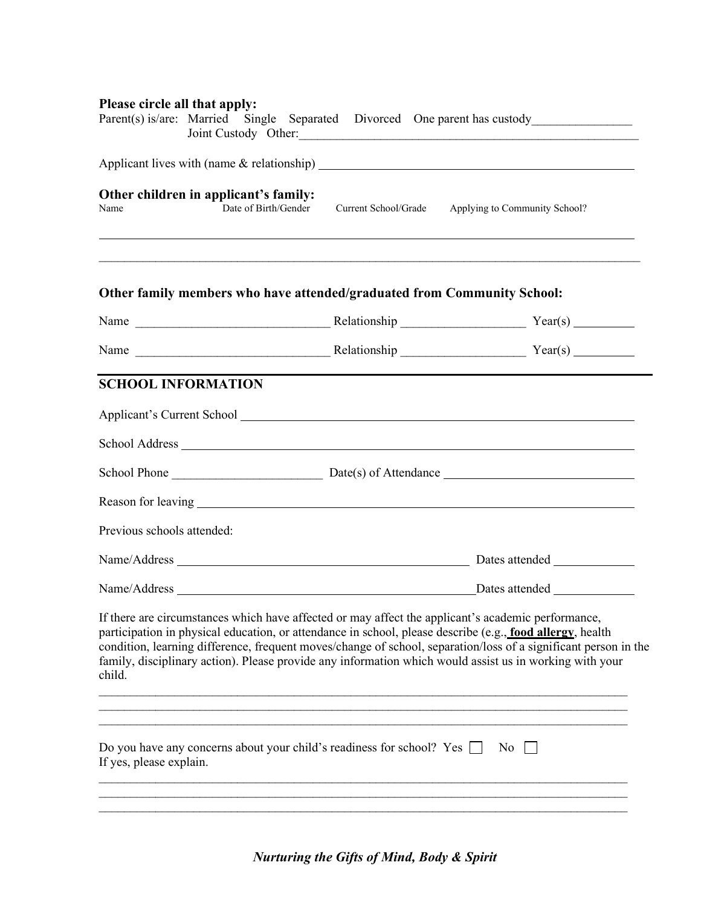| Please circle all that apply: |                                                                              |                      | Parent(s) is/are: Married Single Separated Divorced One parent has custody__________________________<br>Joint Custody Other:                                                                                                                                                                                                                                                                                                                  |
|-------------------------------|------------------------------------------------------------------------------|----------------------|-----------------------------------------------------------------------------------------------------------------------------------------------------------------------------------------------------------------------------------------------------------------------------------------------------------------------------------------------------------------------------------------------------------------------------------------------|
|                               |                                                                              |                      |                                                                                                                                                                                                                                                                                                                                                                                                                                               |
| Name                          | Other children in applicant's family:<br>Date of Birth/Gender                | Current School/Grade | Applying to Community School?                                                                                                                                                                                                                                                                                                                                                                                                                 |
|                               | Other family members who have attended/graduated from Community School:      |                      |                                                                                                                                                                                                                                                                                                                                                                                                                                               |
|                               |                                                                              |                      |                                                                                                                                                                                                                                                                                                                                                                                                                                               |
|                               |                                                                              |                      |                                                                                                                                                                                                                                                                                                                                                                                                                                               |
| <b>SCHOOL INFORMATION</b>     |                                                                              |                      |                                                                                                                                                                                                                                                                                                                                                                                                                                               |
|                               |                                                                              |                      | Applicant's Current School <u>example and the set of the set of the set of the set of the set of the set of the set of the set of the set of the set of the set of the set of the set of the set of the set of the set of the se</u>                                                                                                                                                                                                          |
|                               |                                                                              |                      |                                                                                                                                                                                                                                                                                                                                                                                                                                               |
|                               |                                                                              |                      |                                                                                                                                                                                                                                                                                                                                                                                                                                               |
|                               |                                                                              |                      |                                                                                                                                                                                                                                                                                                                                                                                                                                               |
| Previous schools attended:    |                                                                              |                      |                                                                                                                                                                                                                                                                                                                                                                                                                                               |
|                               |                                                                              |                      |                                                                                                                                                                                                                                                                                                                                                                                                                                               |
|                               |                                                                              |                      |                                                                                                                                                                                                                                                                                                                                                                                                                                               |
| child.                        |                                                                              |                      | If there are circumstances which have affected or may affect the applicant's academic performance,<br>participation in physical education, or attendance in school, please describe (e.g., food allergy, health<br>condition, learning difference, frequent moves/change of school, separation/loss of a significant person in the<br>family, disciplinary action). Please provide any information which would assist us in working with your |
|                               |                                                                              |                      |                                                                                                                                                                                                                                                                                                                                                                                                                                               |
| If yes, please explain.       | Do you have any concerns about your child's readiness for school? Yes $\Box$ |                      | $\overline{N_0}$                                                                                                                                                                                                                                                                                                                                                                                                                              |
|                               |                                                                              |                      |                                                                                                                                                                                                                                                                                                                                                                                                                                               |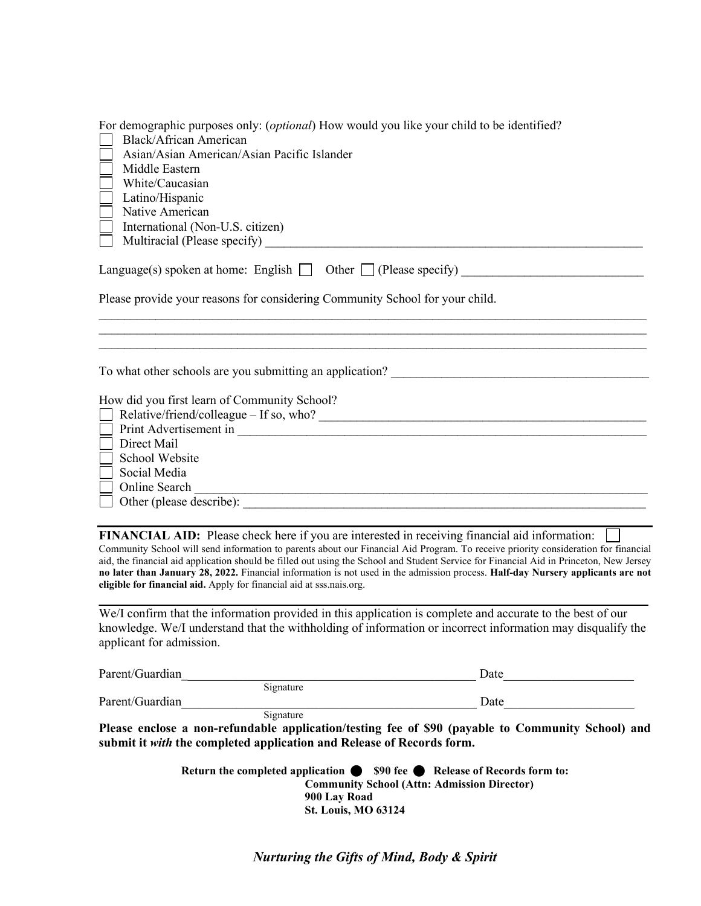| For demographic purposes only: (optional) How would you like your child to be identified?<br>Black/African American<br>Asian/Asian American/Asian Pacific Islander<br>Middle Eastern<br>White/Caucasian<br>Latino/Hispanic<br>Native American<br>International (Non-U.S. citizen)                                                                                                                                                                                                                                                                                                          |                     |
|--------------------------------------------------------------------------------------------------------------------------------------------------------------------------------------------------------------------------------------------------------------------------------------------------------------------------------------------------------------------------------------------------------------------------------------------------------------------------------------------------------------------------------------------------------------------------------------------|---------------------|
| Language(s) spoken at home: English $\Box$ Other $\Box$ (Please specify)                                                                                                                                                                                                                                                                                                                                                                                                                                                                                                                   |                     |
| Please provide your reasons for considering Community School for your child.                                                                                                                                                                                                                                                                                                                                                                                                                                                                                                               |                     |
| To what other schools are you submitting an application? _______________________<br>How did you first learn of Community School?<br>Direct Mail<br>School Website<br>Social Media<br>Online Search                                                                                                                                                                                                                                                                                                                                                                                         |                     |
| FINANCIAL AID: Please check here if you are interested in receiving financial aid information:<br>Community School will send information to parents about our Financial Aid Program. To receive priority consideration for financial<br>aid, the financial aid application should be filled out using the School and Student Service for Financial Aid in Princeton, New Jersey<br>no later than January 28, 2022. Financial information is not used in the admission process. Half-day Nursery applicants are not<br>eligible for financial aid. Apply for financial aid at sss.nais.org. |                     |
| We/I confirm that the information provided in this application is complete and accurate to the best of our<br>knowledge. We/I understand that the withholding of information or incorrect information may disqualify the<br>applicant for admission.                                                                                                                                                                                                                                                                                                                                       |                     |
| Parent/Guardian<br>Signature Date                                                                                                                                                                                                                                                                                                                                                                                                                                                                                                                                                          |                     |
| Parent/Guardian                                                                                                                                                                                                                                                                                                                                                                                                                                                                                                                                                                            |                     |
| Please enclose a non-refundable application/testing fee of \$90 (payable to Community School) and<br>submit it with the completed application and Release of Records form.                                                                                                                                                                                                                                                                                                                                                                                                                 | Signature Date Date |
| Return the completed application $\bullet$ \$90 fee $\bullet$ Release of Records form to:<br><b>Community School (Attn: Admission Director)</b><br>900 Lay Road<br><b>St. Louis, MO 63124</b>                                                                                                                                                                                                                                                                                                                                                                                              |                     |